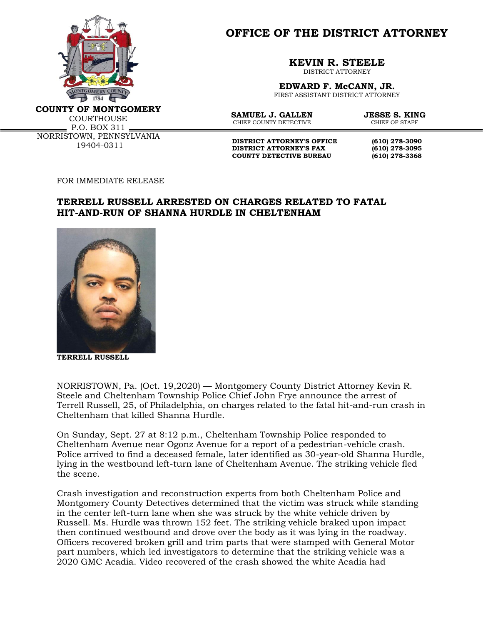

**OFFICE OF THE DISTRICT ATTORNEY**

**KEVIN R. STEELE**

DISTRICT ATTORNEY

**EDWARD F. McCANN, JR.** FIRST ASSISTANT DISTRICT ATTORNEY

**COUNTY OF MONTGOMERY**

COURTHOUSE  $P.0. BOX 311 -$ NORRISTOWN, PENNSYLVANIA 19404-0311

**SAMUEL J. GALLEN JESSE S. KING**<br>CHIEF COUNTY DETECTIVE CHIEF OF STAFF CHIEF COUNTY DETECTIVE

**DISTRICT ATTORNEY'S OFFICE** (610) 278-3090<br>DISTRICT ATTORNEY'S FAX (610) 278-3095 **DISTRICT ATTORNEY'S FAX (610) 278-3095 COUNTY DETECTIVE BUREAU (610) 278-3368**

FOR IMMEDIATE RELEASE

## **TERRELL RUSSELL ARRESTED ON CHARGES RELATED TO FATAL HIT-AND-RUN OF SHANNA HURDLE IN CHELTENHAM**



**TERRELL RUSSELL**

NORRISTOWN, Pa. (Oct. 19,2020) — Montgomery County District Attorney Kevin R. Steele and Cheltenham Township Police Chief John Frye announce the arrest of Terrell Russell, 25, of Philadelphia, on charges related to the fatal hit-and-run crash in Cheltenham that killed Shanna Hurdle.

On Sunday, Sept. 27 at 8:12 p.m., Cheltenham Township Police responded to Cheltenham Avenue near Ogonz Avenue for a report of a pedestrian-vehicle crash. Police arrived to find a deceased female, later identified as 30-year-old Shanna Hurdle, lying in the westbound left-turn lane of Cheltenham Avenue. The striking vehicle fled the scene.

Crash investigation and reconstruction experts from both Cheltenham Police and Montgomery County Detectives determined that the victim was struck while standing in the center left-turn lane when she was struck by the white vehicle driven by Russell. Ms. Hurdle was thrown 152 feet. The striking vehicle braked upon impact then continued westbound and drove over the body as it was lying in the roadway. Officers recovered broken grill and trim parts that were stamped with General Motor part numbers, which led investigators to determine that the striking vehicle was a 2020 GMC Acadia. Video recovered of the crash showed the white Acadia had